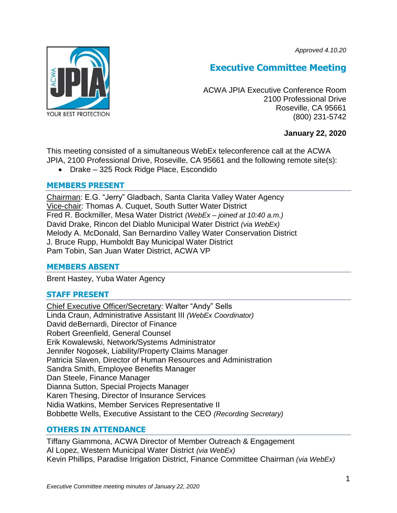*Approved 4.10.20*



# **Executive Committee Meeting**

ACWA JPIA Executive Conference Room 2100 Professional Drive Roseville, CA 95661 (800) 231-5742

# **January 22, 2020**

This meeting consisted of a simultaneous WebEx teleconference call at the ACWA JPIA, 2100 Professional Drive, Roseville, CA 95661 and the following remote site(s):

Drake – 325 Rock Ridge Place, Escondido

# **MEMBERS PRESENT**

Chairman: E.G. "Jerry" Gladbach, Santa Clarita Valley Water Agency Vice-chair: Thomas A. Cuquet, South Sutter Water District Fred R. Bockmiller, Mesa Water District *(WebEx – joined at 10:40 a.m.)* David Drake, Rincon del Diablo Municipal Water District *(via WebEx)* Melody A. McDonald, San Bernardino Valley Water Conservation District J. Bruce Rupp, Humboldt Bay Municipal Water District Pam Tobin, San Juan Water District, ACWA VP

# **MEMBERS ABSENT**

Brent Hastey, Yuba Water Agency

# **STAFF PRESENT**

Chief Executive Officer/Secretary: Walter "Andy" Sells Linda Craun, Administrative Assistant III *(WebEx Coordinator)* David deBernardi, Director of Finance Robert Greenfield, General Counsel Erik Kowalewski, Network/Systems Administrator Jennifer Nogosek, Liability/Property Claims Manager Patricia Slaven, Director of Human Resources and Administration Sandra Smith, Employee Benefits Manager Dan Steele, Finance Manager Dianna Sutton, Special Projects Manager Karen Thesing, Director of Insurance Services Nidia Watkins, Member Services Representative II Bobbette Wells, Executive Assistant to the CEO *(Recording Secretary)*

# **OTHERS IN ATTENDANCE**

Tiffany Giammona, ACWA Director of Member Outreach & Engagement Al Lopez, Western Municipal Water District *(via WebEx)* Kevin Phillips, Paradise Irrigation District, Finance Committee Chairman *(via WebEx)*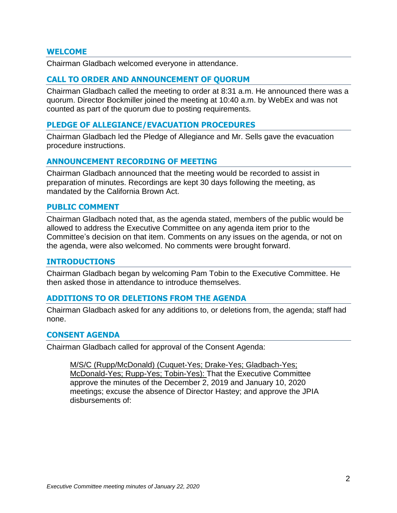#### **WELCOME**

Chairman Gladbach welcomed everyone in attendance.

## **CALL TO ORDER AND ANNOUNCEMENT OF QUORUM**

Chairman Gladbach called the meeting to order at 8:31 a.m. He announced there was a quorum. Director Bockmiller joined the meeting at 10:40 a.m. by WebEx and was not counted as part of the quorum due to posting requirements.

#### **PLEDGE OF ALLEGIANCE/EVACUATION PROCEDURES**

Chairman Gladbach led the Pledge of Allegiance and Mr. Sells gave the evacuation procedure instructions.

## **ANNOUNCEMENT RECORDING OF MEETING**

Chairman Gladbach announced that the meeting would be recorded to assist in preparation of minutes. Recordings are kept 30 days following the meeting, as mandated by the California Brown Act.

#### **PUBLIC COMMENT**

Chairman Gladbach noted that, as the agenda stated, members of the public would be allowed to address the Executive Committee on any agenda item prior to the Committee's decision on that item. Comments on any issues on the agenda, or not on the agenda, were also welcomed. No comments were brought forward.

#### **INTRODUCTIONS**

Chairman Gladbach began by welcoming Pam Tobin to the Executive Committee. He then asked those in attendance to introduce themselves.

#### **ADDITIONS TO OR DELETIONS FROM THE AGENDA**

Chairman Gladbach asked for any additions to, or deletions from, the agenda; staff had none.

#### **CONSENT AGENDA**

Chairman Gladbach called for approval of the Consent Agenda:

M/S/C (Rupp/McDonald) (Cuquet-Yes; Drake-Yes; Gladbach-Yes; McDonald-Yes; Rupp-Yes; Tobin-Yes): That the Executive Committee approve the minutes of the December 2, 2019 and January 10, 2020 meetings; excuse the absence of Director Hastey; and approve the JPIA disbursements of: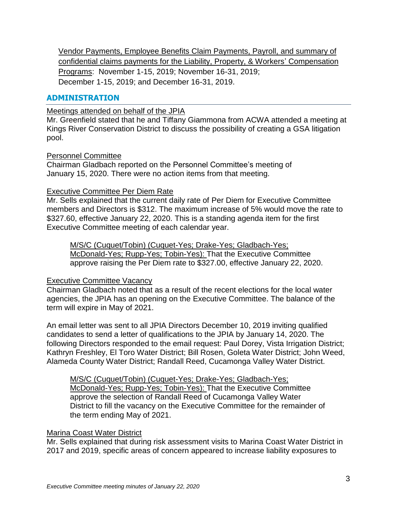Vendor Payments, Employee Benefits Claim Payments, Payroll, and summary of confidential claims payments for the Liability, Property, & Workers' Compensation Programs: November 1-15, 2019; November 16-31, 2019; December 1-15, 2019; and December 16-31, 2019.

# **ADMINISTRATION**

Meetings attended on behalf of the JPIA

Mr. Greenfield stated that he and Tiffany Giammona from ACWA attended a meeting at Kings River Conservation District to discuss the possibility of creating a GSA litigation pool.

## Personnel Committee

Chairman Gladbach reported on the Personnel Committee's meeting of January 15, 2020. There were no action items from that meeting.

## Executive Committee Per Diem Rate

Mr. Sells explained that the current daily rate of Per Diem for Executive Committee members and Directors is \$312. The maximum increase of 5% would move the rate to \$327.60, effective January 22, 2020. This is a standing agenda item for the first Executive Committee meeting of each calendar year.

M/S/C (Cuquet/Tobin) (Cuquet-Yes; Drake-Yes; Gladbach-Yes; McDonald-Yes; Rupp-Yes; Tobin-Yes): That the Executive Committee approve raising the Per Diem rate to \$327.00, effective January 22, 2020.

# Executive Committee Vacancy

Chairman Gladbach noted that as a result of the recent elections for the local water agencies, the JPIA has an opening on the Executive Committee. The balance of the term will expire in May of 2021.

An email letter was sent to all JPIA Directors December 10, 2019 inviting qualified candidates to send a letter of qualifications to the JPIA by January 14, 2020. The following Directors responded to the email request: Paul Dorey, Vista Irrigation District; Kathryn Freshley, El Toro Water District; Bill Rosen, Goleta Water District; John Weed, Alameda County Water District; Randall Reed, Cucamonga Valley Water District.

M/S/C (Cuquet/Tobin) (Cuquet-Yes; Drake-Yes; Gladbach-Yes; McDonald-Yes; Rupp-Yes; Tobin-Yes): That the Executive Committee approve the selection of Randall Reed of Cucamonga Valley Water District to fill the vacancy on the Executive Committee for the remainder of the term ending May of 2021.

# Marina Coast Water District

Mr. Sells explained that during risk assessment visits to Marina Coast Water District in 2017 and 2019, specific areas of concern appeared to increase liability exposures to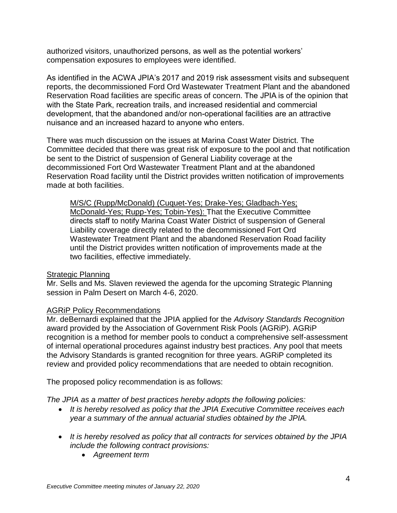authorized visitors, unauthorized persons, as well as the potential workers' compensation exposures to employees were identified.

As identified in the ACWA JPIA's 2017 and 2019 risk assessment visits and subsequent reports, the decommissioned Ford Ord Wastewater Treatment Plant and the abandoned Reservation Road facilities are specific areas of concern. The JPIA is of the opinion that with the State Park, recreation trails, and increased residential and commercial development, that the abandoned and/or non-operational facilities are an attractive nuisance and an increased hazard to anyone who enters.

There was much discussion on the issues at Marina Coast Water District. The Committee decided that there was great risk of exposure to the pool and that notification be sent to the District of suspension of General Liability coverage at the decommissioned Fort Ord Wastewater Treatment Plant and at the abandoned Reservation Road facility until the District provides written notification of improvements made at both facilities.

M/S/C (Rupp/McDonald) (Cuquet-Yes; Drake-Yes; Gladbach-Yes; McDonald-Yes; Rupp-Yes; Tobin-Yes): That the Executive Committee directs staff to notify Marina Coast Water District of suspension of General Liability coverage directly related to the decommissioned Fort Ord Wastewater Treatment Plant and the abandoned Reservation Road facility until the District provides written notification of improvements made at the two facilities, effective immediately.

# Strategic Planning

Mr. Sells and Ms. Slaven reviewed the agenda for the upcoming Strategic Planning session in Palm Desert on March 4-6, 2020.

# AGRiP Policy Recommendations

Mr. deBernardi explained that the JPIA applied for the *Advisory Standards Recognition* award provided by the Association of Government Risk Pools (AGRiP). AGRiP recognition is a method for member pools to conduct a comprehensive self-assessment of internal operational procedures against industry best practices. Any pool that meets the Advisory Standards is granted recognition for three years. AGRiP completed its review and provided policy recommendations that are needed to obtain recognition.

The proposed policy recommendation is as follows:

*The JPIA as a matter of best practices hereby adopts the following policies:*

- *It is hereby resolved as policy that the JPIA Executive Committee receives each year a summary of the annual actuarial studies obtained by the JPIA.*
- *It is hereby resolved as policy that all contracts for services obtained by the JPIA include the following contract provisions:*
	- *Agreement term*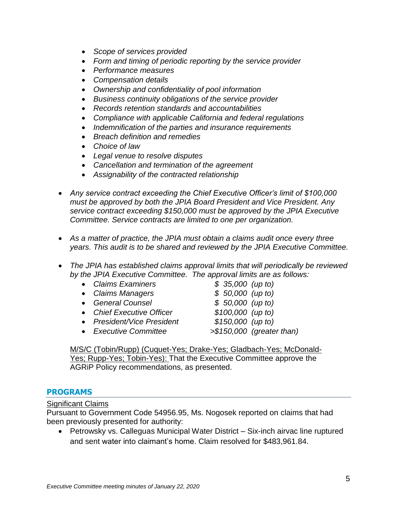- *Scope of services provided*
- *Form and timing of periodic reporting by the service provider*
- *Performance measures*
- *Compensation details*
- *Ownership and confidentiality of pool information*
- *Business continuity obligations of the service provider*
- *Records retention standards and accountabilities*
- *Compliance with applicable California and federal regulations*
- *Indemnification of the parties and insurance requirements*
- *Breach definition and remedies*
- *Choice of law*
- *Legal venue to resolve disputes*
- *Cancellation and termination of the agreement*
- *Assignability of the contracted relationship*
- *Any service contract exceeding the Chief Executive Officer's limit of \$100,000 must be approved by both the JPIA Board President and Vice President. Any service contract exceeding \$150,000 must be approved by the JPIA Executive Committee. Service contracts are limited to one per organization.*
- *As a matter of practice, the JPIA must obtain a claims audit once every three years. This audit is to be shared and reviewed by the JPIA Executive Committee.*
- *The JPIA has established claims approval limits that will periodically be reviewed by the JPIA Executive Committee. The approval limits are as follows:*
	- *Claims Examiners >\$135,000 (up to)*
	- *Claims Managers >\$150,000 (up to)*
	- *General Counsel >\$150,000 (up to)*
	- *Chief Executive Officer >\$100,000 (up to)*
	- *President/Vice President >\$150,000 (up to)*
	- *Executive Committee >\$150,000 (greater than)*

- 
- 
- 

M/S/C (Tobin/Rupp) (Cuquet-Yes; Drake-Yes; Gladbach-Yes; McDonald-Yes; Rupp-Yes; Tobin-Yes): That the Executive Committee approve the AGRiP Policy recommendations, as presented.

# **PROGRAMS**

# Significant Claims

Pursuant to Government Code 54956.95, Ms. Nogosek reported on claims that had been previously presented for authority:

• Petrowsky vs. Calleguas Municipal Water District – Six-inch airvac line ruptured and sent water into claimant's home. Claim resolved for \$483,961.84.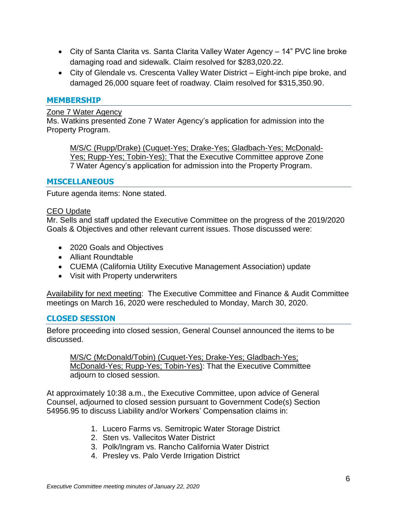- City of Santa Clarita vs. Santa Clarita Valley Water Agency 14" PVC line broke damaging road and sidewalk. Claim resolved for \$283,020.22.
- City of Glendale vs. Crescenta Valley Water District Eight-inch pipe broke, and damaged 26,000 square feet of roadway. Claim resolved for \$315,350.90.

## **MEMBERSHIP**

#### Zone 7 Water Agency

Ms. Watkins presented Zone 7 Water Agency's application for admission into the Property Program.

M/S/C (Rupp/Drake) (Cuquet-Yes; Drake-Yes; Gladbach-Yes; McDonald-Yes; Rupp-Yes; Tobin-Yes): That the Executive Committee approve Zone 7 Water Agency's application for admission into the Property Program.

## **MISCELLANEOUS**

Future agenda items: None stated.

#### CEO Update

Mr. Sells and staff updated the Executive Committee on the progress of the 2019/2020 Goals & Objectives and other relevant current issues. Those discussed were:

- 2020 Goals and Objectives
- Alliant Roundtable
- CUEMA (California Utility Executive Management Association) update
- Visit with Property underwriters

Availability for next meeting: The Executive Committee and Finance & Audit Committee meetings on March 16, 2020 were rescheduled to Monday, March 30, 2020.

#### **CLOSED SESSION**

Before proceeding into closed session, General Counsel announced the items to be discussed.

M/S/C (McDonald/Tobin) (Cuquet-Yes; Drake-Yes; Gladbach-Yes; McDonald-Yes; Rupp-Yes; Tobin-Yes): That the Executive Committee adjourn to closed session.

At approximately 10:38 a.m., the Executive Committee, upon advice of General Counsel, adjourned to closed session pursuant to Government Code(s) Section 54956.95 to discuss Liability and/or Workers' Compensation claims in:

- 1. Lucero Farms vs. Semitropic Water Storage District
- 2. Sten vs. Vallecitos Water District
- 3. Polk/Ingram vs. Rancho California Water District
- 4. Presley vs. Palo Verde Irrigation District